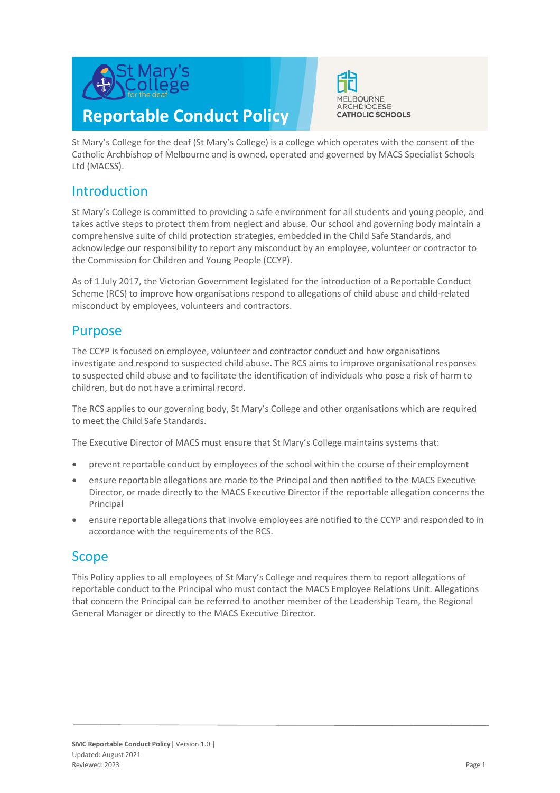

# **Reportable Conduct Policy**



St Mary's College for the deaf (St Mary's College) is a college which operates with the consent of the Catholic Archbishop of Melbourne and is owned, operated and governed by MACS Specialist Schools Ltd (MACSS).

## Introduction

St Mary's College is committed to providing a safe environment for all students and young people, and takes active steps to protect them from neglect and abuse. Our school and governing body maintain a comprehensive suite of child protection strategies, embedded in the Child Safe Standards, and acknowledge our responsibility to report any misconduct by an employee, volunteer or contractor to the Commission for Children and Young People (CCYP).

As of 1 July 2017, the Victorian Government legislated for the introduction of a Reportable Conduct Scheme (RCS) to improve how organisations respond to allegations of child abuse and child-related misconduct by employees, volunteers and contractors.

## Purpose

The CCYP is focused on employee, volunteer and contractor conduct and how organisations investigate and respond to suspected child abuse. The RCS aims to improve organisational responses to suspected child abuse and to facilitate the identification of individuals who pose a risk of harm to children, but do not have a criminal record.

The RCS applies to our governing body, St Mary's College and other organisations which are required to meet the Child Safe Standards.

The Executive Director of MACS must ensure that St Mary's College maintains systems that:

- prevent reportable conduct by employees of the school within the course of their employment
- ensure reportable allegations are made to the Principal and then notified to the MACS Executive Director, or made directly to the MACS Executive Director if the reportable allegation concerns the Principal
- ensure reportable allegations that involve employees are notified to the CCYP and responded to in accordance with the requirements of the RCS.

## Scope

This Policy applies to all employees of St Mary's College and requires them to report allegations of reportable conduct to the Principal who must contact the MACS Employee Relations Unit. Allegations that concern the Principal can be referred to another member of the Leadership Team, the Regional General Manager or directly to the MACS Executive Director.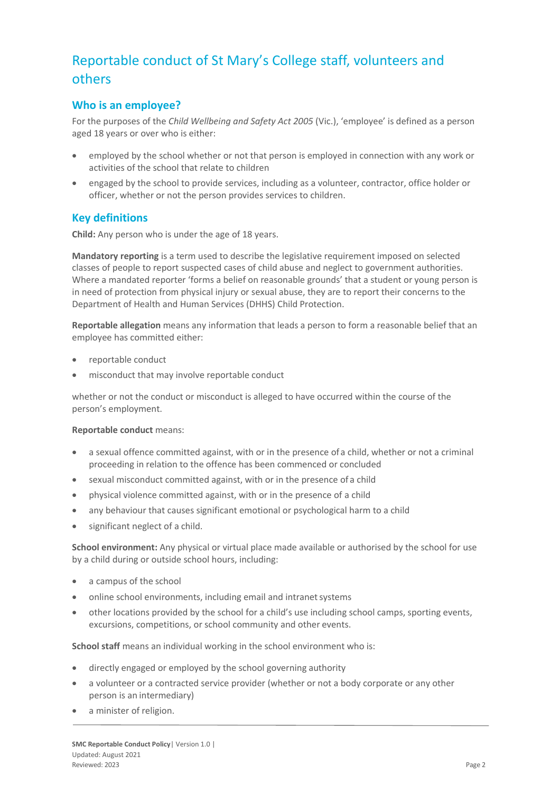## Reportable conduct of St Mary's College staff, volunteers and others

### **Who is an employee?**

For the purposes of the *Child Wellbeing and Safety Act 2005* (Vic.), 'employee' is defined as a person aged 18 years or over who is either:

- employed by the school whether or not that person is employed in connection with any work or activities of the school that relate to children
- engaged by the school to provide services, including as a volunteer, contractor, office holder or officer, whether or not the person provides services to children.

## **Key definitions**

**Child:** Any person who is under the age of 18 years.

**Mandatory reporting** is a term used to describe the legislative requirement imposed on selected classes of people to report suspected cases of child abuse and neglect to government authorities. Where a mandated reporter 'forms a belief on reasonable grounds' that a student or young person is in need of protection from physical injury or sexual abuse, they are to report their concerns to the Department of Health and Human Services (DHHS) Child Protection.

**Reportable allegation** means any information that leads a person to form a reasonable belief that an employee has committed either:

- reportable conduct
- misconduct that may involve reportable conduct

whether or not the conduct or misconduct is alleged to have occurred within the course of the person's employment.

#### **Reportable conduct** means:

- a sexual offence committed against, with or in the presence of a child, whether or not a criminal proceeding in relation to the offence has been commenced or concluded
- sexual misconduct committed against, with or in the presence of a child
- physical violence committed against, with or in the presence of a child
- any behaviour that causes significant emotional or psychological harm to a child
- significant neglect of a child.

**School environment:** Any physical or virtual place made available or authorised by the school for use by a child during or outside school hours, including:

- a campus of the school
- online school environments, including email and intranet systems
- other locations provided by the school for a child's use including school camps, sporting events, excursions, competitions, or school community and other events.

**School staff** means an individual working in the school environment who is:

- directly engaged or employed by the school governing authority
- a volunteer or a contracted service provider (whether or not a body corporate or any other person is an intermediary)
- a minister of religion.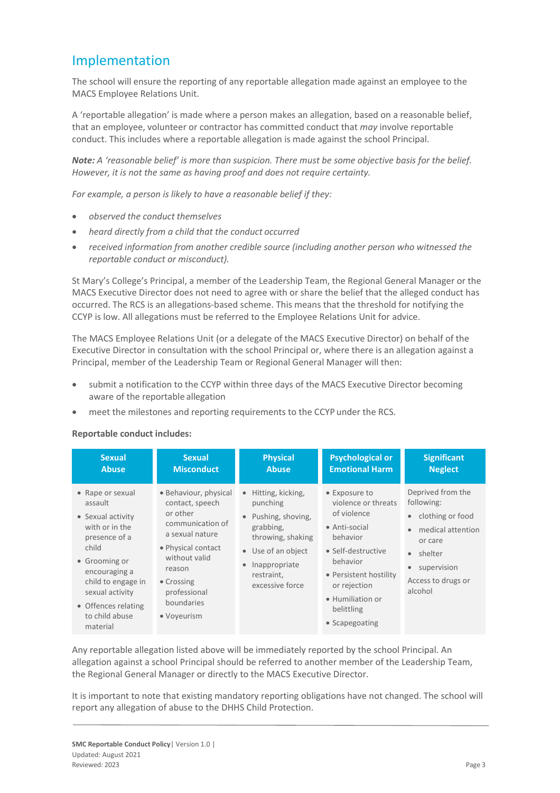## Implementation

The school will ensure the reporting of any reportable allegation made against an employee to the MACS Employee Relations Unit.

A 'reportable allegation' is made where a person makes an allegation, based on a reasonable belief, that an employee, volunteer or contractor has committed conduct that *may* involve reportable conduct. This includes where a reportable allegation is made against the school Principal.

*Note: A 'reasonable belief' is more than suspicion. There must be some objective basis for the belief. However, it is not the same as having proof and does not require certainty.*

*For example, a person is likely to have a reasonable belief if they:*

- *observed the conduct themselves*
- *heard directly from a child that the conduct occurred*
- *received information from another credible source (including another person who witnessed the reportable conduct or misconduct).*

St Mary's College's Principal, a member of the Leadership Team, the Regional General Manager or the MACS Executive Director does not need to agree with or share the belief that the alleged conduct has occurred. The RCS is an allegations-based scheme. This means that the threshold for notifying the CCYP is low. All allegations must be referred to the Employee Relations Unit for advice.

The MACS Employee Relations Unit (or a delegate of the MACS Executive Director) on behalf of the Executive Director in consultation with the school Principal or, where there is an allegation against a Principal, member of the Leadership Team or Regional General Manager will then:

- submit a notification to the CCYP within three days of the MACS Executive Director becoming aware of the reportable allegation
- meet the milestones and reporting requirements to the CCYP under the RCS.

#### **Reportable conduct includes:**

| <b>Sexual</b>                                                                                                                                                                                                                | <b>Sexual</b>                                                                                                                                                                                                   | <b>Physical</b>                                                                                                                                                                                     | <b>Psychological or</b>                                                                                                                                                                                          | <b>Significant</b>                                                                                                                                              |
|------------------------------------------------------------------------------------------------------------------------------------------------------------------------------------------------------------------------------|-----------------------------------------------------------------------------------------------------------------------------------------------------------------------------------------------------------------|-----------------------------------------------------------------------------------------------------------------------------------------------------------------------------------------------------|------------------------------------------------------------------------------------------------------------------------------------------------------------------------------------------------------------------|-----------------------------------------------------------------------------------------------------------------------------------------------------------------|
| <b>Abuse</b>                                                                                                                                                                                                                 | <b>Misconduct</b>                                                                                                                                                                                               | <b>Abuse</b>                                                                                                                                                                                        | <b>Emotional Harm</b>                                                                                                                                                                                            | <b>Neglect</b>                                                                                                                                                  |
| • Rape or sexual<br>assault<br>• Sexual activity<br>with or in the<br>presence of a<br>child<br>• Grooming or<br>encouraging a<br>child to engage in<br>sexual activity<br>• Offences relating<br>to child abuse<br>material | • Behaviour, physical<br>contact, speech<br>or other<br>communication of<br>a sexual nature<br>• Physical contact<br>without valid<br>reason<br>• Crossing<br>professional<br>boundaries<br>$\bullet$ Voyeurism | Hitting, kicking,<br>$\bullet$<br>punching<br>Pushing, shoving,<br>$\bullet$<br>grabbing,<br>throwing, shaking<br>• Use of an object<br>Inappropriate<br>$\bullet$<br>restraint,<br>excessive force | • Exposure to<br>violence or threats<br>of violence<br>• Anti-social<br>behavior<br>• Self-destructive<br>behavior<br>• Persistent hostility<br>or rejection<br>• Humiliation or<br>belittling<br>• Scapegoating | Deprived from the<br>following:<br>• clothing or food<br>medical attention<br>$\bullet$<br>or care<br>• shelter<br>supervision<br>Access to drugs or<br>alcohol |

Any reportable allegation listed above will be immediately reported by the school Principal. An allegation against a school Principal should be referred to another member of the Leadership Team, the Regional General Manager or directly to the MACS Executive Director.

It is important to note that existing mandatory reporting obligations have not changed. The school will report any allegation of abuse to the DHHS Child Protection.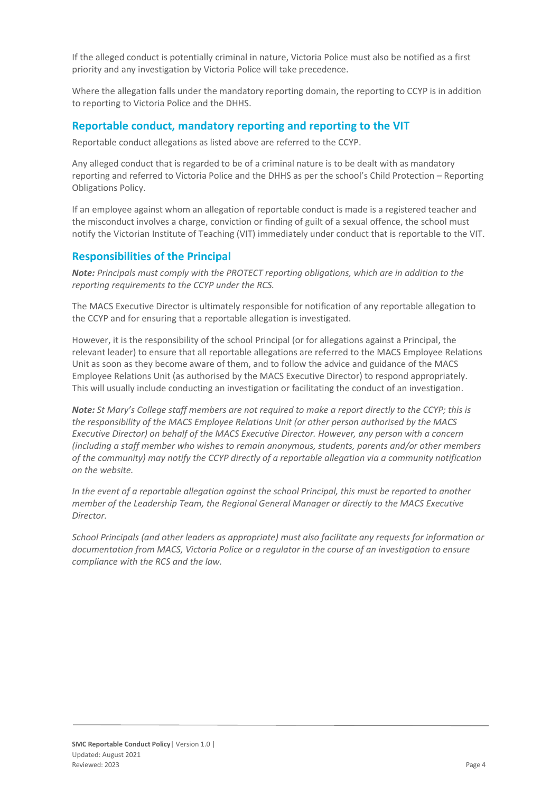If the alleged conduct is potentially criminal in nature, Victoria Police must also be notified as a first priority and any investigation by Victoria Police will take precedence.

Where the allegation falls under the mandatory reporting domain, the reporting to CCYP is in addition to reporting to Victoria Police and the DHHS.

### **Reportable conduct, mandatory reporting and reporting to the VIT**

Reportable conduct allegations as listed above are referred to the CCYP.

Any alleged conduct that is regarded to be of a criminal nature is to be dealt with as mandatory reporting and referred to Victoria Police and the DHHS as per the school's Child Protection – Reporting Obligations Policy.

If an employee against whom an allegation of reportable conduct is made is a registered teacher and the misconduct involves a charge, conviction or finding of guilt of a sexual offence, the school must notify the Victorian Institute of Teaching (VIT) immediately under conduct that is reportable to the VIT.

### **Responsibilities of the Principal**

*Note: Principals must comply with the PROTECT reporting obligations, which are in addition to the reporting requirements to the CCYP under the RCS.*

The MACS Executive Director is ultimately responsible for notification of any reportable allegation to the CCYP and for ensuring that a reportable allegation is investigated.

However, it is the responsibility of the school Principal (or for allegations against a Principal, the relevant leader) to ensure that all reportable allegations are referred to the MACS Employee Relations Unit as soon as they become aware of them, and to follow the advice and guidance of the MACS Employee Relations Unit (as authorised by the MACS Executive Director) to respond appropriately. This will usually include conducting an investigation or facilitating the conduct of an investigation.

*Note: St Mary's College staff members are not required to make a report directly to the CCYP; this is the responsibility of the MACS Employee Relations Unit (or other person authorised by the MACS Executive Director) on behalf of the MACS Executive Director. However, any person with a concern (including a staff member who wishes to remain anonymous, students, parents and/or other members of the community) may notify the CCYP directly of a reportable allegation via a community notification on the website.*

*In the event of a reportable allegation against the school Principal, this must be reported to another member of the Leadership Team, the Regional General Manager or directly to the MACS Executive Director.*

*School Principals (and other leaders as appropriate) must also facilitate any requests for information or documentation from MACS, Victoria Police or a regulator in the course of an investigation to ensure compliance with the RCS and the law.*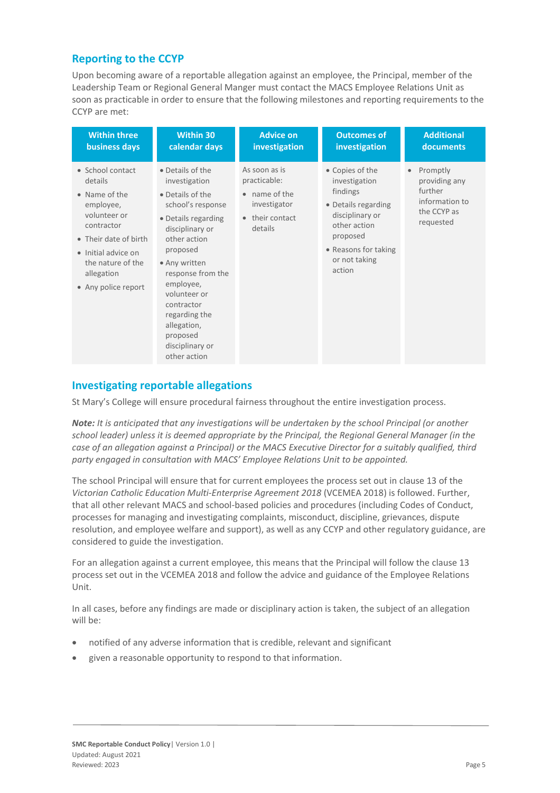### **Reporting to the CCYP**

Upon becoming aware of a reportable allegation against an employee, the Principal, member of the Leadership Team or Regional General Manger must contact the MACS Employee Relations Unit as soon as practicable in order to ensure that the following milestones and reporting requirements to the CCYP are met:

| <b>Within three</b>                                                                                                                                                                               | <b>Within 30</b>                                                                                                                                                                                                                                                                                                 | <b>Advice on</b>                                                                           | <b>Outcomes of</b>                                                                                                                                                    | <b>Additional</b>                                                                               |
|---------------------------------------------------------------------------------------------------------------------------------------------------------------------------------------------------|------------------------------------------------------------------------------------------------------------------------------------------------------------------------------------------------------------------------------------------------------------------------------------------------------------------|--------------------------------------------------------------------------------------------|-----------------------------------------------------------------------------------------------------------------------------------------------------------------------|-------------------------------------------------------------------------------------------------|
| business days                                                                                                                                                                                     | calendar days                                                                                                                                                                                                                                                                                                    | investigation                                                                              | investigation                                                                                                                                                         | documents                                                                                       |
| • School contact<br>details<br>• Name of the<br>employee,<br>volunteer or<br>contractor<br>• Their date of birth<br>· Initial advice on<br>the nature of the<br>allegation<br>• Any police report | • Details of the<br>investigation<br>• Details of the<br>school's response<br>• Details regarding<br>disciplinary or<br>other action<br>proposed<br>• Any written<br>response from the<br>employee,<br>volunteer or<br>contractor<br>regarding the<br>allegation,<br>proposed<br>disciplinary or<br>other action | As soon as is<br>practicable:<br>• name of the<br>investigator<br>their contact<br>details | • Copies of the<br>investigation<br>findings<br>• Details regarding<br>disciplinary or<br>other action<br>proposed<br>• Reasons for taking<br>or not taking<br>action | Promptly<br>$\bullet$<br>providing any<br>further<br>information to<br>the CCYP as<br>requested |

## **Investigating reportable allegations**

St Mary's College will ensure procedural fairness throughout the entire investigation process.

*Note: It is anticipated that any investigations will be undertaken by the school Principal (or another school leader) unless it is deemed appropriate by the Principal, the Regional General Manager (in the case of an allegation against a Principal) or the MACS Executive Director for a suitably qualified, third party engaged in consultation with MACS' Employee Relations Unit to be appointed.*

The school Principal will ensure that for current employees the process set out in clause 13 of the *Victorian Catholic Education Multi-Enterprise Agreement 2018* (VCEMEA 2018) is followed. Further, that all other relevant MACS and school-based policies and procedures (including Codes of Conduct, processes for managing and investigating complaints, misconduct, discipline, grievances, dispute resolution, and employee welfare and support), as well as any CCYP and other regulatory guidance, are considered to guide the investigation.

For an allegation against a current employee, this means that the Principal will follow the clause 13 process set out in the VCEMEA 2018 and follow the advice and guidance of the Employee Relations Unit.

In all cases, before any findings are made or disciplinary action is taken, the subject of an allegation will be:

- notified of any adverse information that is credible, relevant and significant
- given a reasonable opportunity to respond to that information.